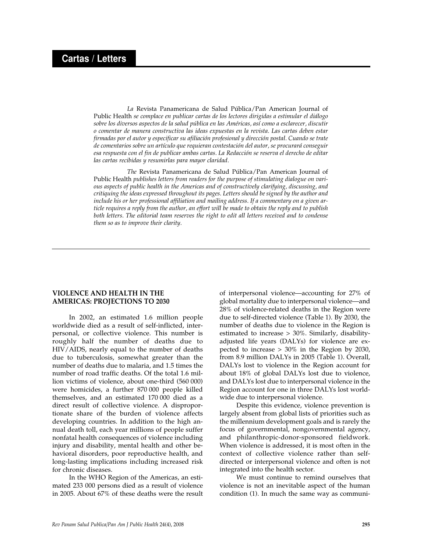*La* Revista Panamericana de Salud Pública/Pan American Journal of Public Health *se complace en publicar cartas de los lectores dirigidas a estimular el diálogo sobre los diversos aspectos de la salud pública en las Américas, así como a esclarecer, discutir o comentar de manera constructiva las ideas expuestas en la revista. Las cartas deben estar firmadas por el autor y especificar su afiliación profesional y dirección postal. Cuando se trate de comentarios sobre un artículo que requieran contestación del autor, se procurará conseguir esa respuesta con el fin de publicar ambas cartas. La Redacción se reserva el derecho de editar las cartas recibidas y resumirlas para mayor claridad.*

*The* Revista Panamericana de Salud Pública/Pan American Journal of Public Health *publishes letters from readers for the purpose of stimulating dialogue on various aspects of public health in the Americas and of constructively clarifying, discussing, and critiquing the ideas expressed throughout its pages. Letters should be signed by the author and include his or her professional affiliation and mailing address. If a commentary on a given article requires a reply from the author, an effort will be made to obtain the reply and to publish both letters. The editorial team reserves the right to edit all letters received and to condense them so as to improve their clarity.*

## **VIOLENCE AND HEALTH IN THE AMERICAS: PROJECTIONS TO 2030**

In 2002, an estimated 1.6 million people worldwide died as a result of self-inflicted, interpersonal, or collective violence. This number is roughly half the number of deaths due to HIV/AIDS, nearly equal to the number of deaths due to tuberculosis, somewhat greater than the number of deaths due to malaria, and 1.5 times the number of road traffic deaths. Of the total 1.6 million victims of violence, about one-third (560 000) were homicides, a further 870 000 people killed themselves, and an estimated 170 000 died as a direct result of collective violence. A disproportionate share of the burden of violence affects developing countries. In addition to the high annual death toll, each year millions of people suffer nonfatal health consequences of violence including injury and disability, mental health and other behavioral disorders, poor reproductive health, and long-lasting implications including increased risk for chronic diseases.

In the WHO Region of the Americas, an estimated 233 000 persons died as a result of violence in 2005. About 67% of these deaths were the result

of interpersonal violence—accounting for 27% of global mortality due to interpersonal violence—and 28% of violence-related deaths in the Region were due to self-directed violence (Table 1). By 2030, the number of deaths due to violence in the Region is estimated to increase > 30%. Similarly, disabilityadjusted life years (DALYs) for violence are expected to increase > 30% in the Region by 2030, from 8.9 million DALYs in 2005 (Table 1). Overall, DALYs lost to violence in the Region account for about 18% of global DALYs lost due to violence, and DALYs lost due to interpersonal violence in the Region account for one in three DALYs lost worldwide due to interpersonal violence.

Despite this evidence, violence prevention is largely absent from global lists of priorities such as the millennium development goals and is rarely the focus of governmental, nongovernmental agency, and philanthropic-donor-sponsored fieldwork. When violence is addressed, it is most often in the context of collective violence rather than selfdirected or interpersonal violence and often is not integrated into the health sector.

We must continue to remind ourselves that violence is not an inevitable aspect of the human condition (1). In much the same way as communi-